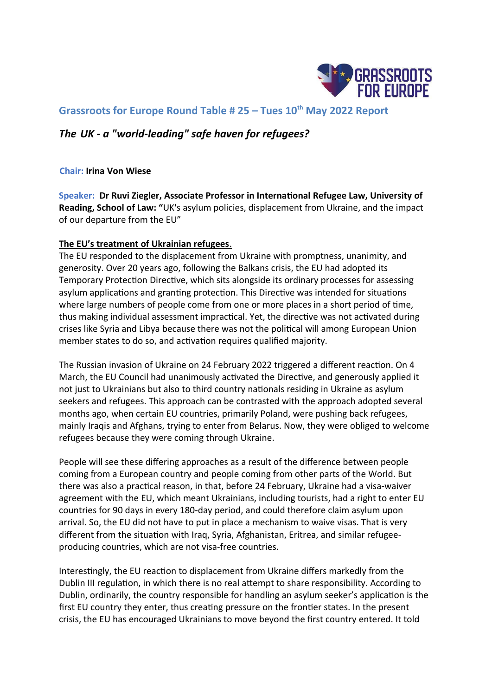

# **Grassroots for Europe Round Table # 25 – Tues 10th May 2022 Report**

# *The UK - a "world-leading" safe haven for refugees?*

**Chair: Irina Von Wiese**

**Speaker: Dr Ruvi Ziegler, Associate Professor in International Refugee Law, University of Reading, School of Law: "**UK's asylum policies, displacement from Ukraine, and the impact of our departure from the EU"

#### **The EU's treatment of Ukrainian refugees** .

The EU responded to the displacement from Ukraine with promptness, unanimity, and generosity. Over 20 years ago, following the Balkans crisis, the EU had adopted its Temporary Protection Directive, which sits alongside its ordinary processes for assessing asylum applications and granting protection. This Directive was intended for situations where large numbers of people come from one or more places in a short period of time, thus making individual assessment impractical. Yet, the directive was not activated during crises like Syria and Libya because there was not the political will among European Union member states to do so, and activation requires qualified majority.

The Russian invasion of Ukraine on 24 February 2022 triggered a different reaction. On 4 March, the EU Council had unanimously activated the Directive, and generously applied it not just to Ukrainians but also to third country nationals residing in Ukraine as asylum seekers and refugees. This approach can be contrasted with the approach adopted several months ago, when certain EU countries, primarily Poland, were pushing back refugees, mainly Iraqis and Afghans, trying to enter from Belarus. Now, they were obliged to welcome refugees because they were coming through Ukraine.

People will see these differing approaches as a result of the difference between people coming from a European country and people coming from other parts of the World. But there was also a practical reason, in that, before 24 February, Ukraine had a visa-waiver agreement with the EU, which meant Ukrainians, including tourists, had a right to enter EU countries for 90 days in every 180-day period, and could therefore claim asylum upon arrival. So, the EU did not have to put in place a mechanism to waive visas. That is very different from the situation with Iraq, Syria, Afghanistan, Eritrea, and similar refugeeproducing countries, which are not visa-free countries.

Interestingly, the EU reaction to displacement from Ukraine differs markedly from the Dublin III regulation, in which there is no real attempt to share responsibility. According to Dublin, ordinarily, the country responsible for handling an asylum seeker's application is the first EU country they enter, thus creating pressure on the frontier states. In the present crisis, the EU has encouraged Ukrainians to move beyond the first country entered. It told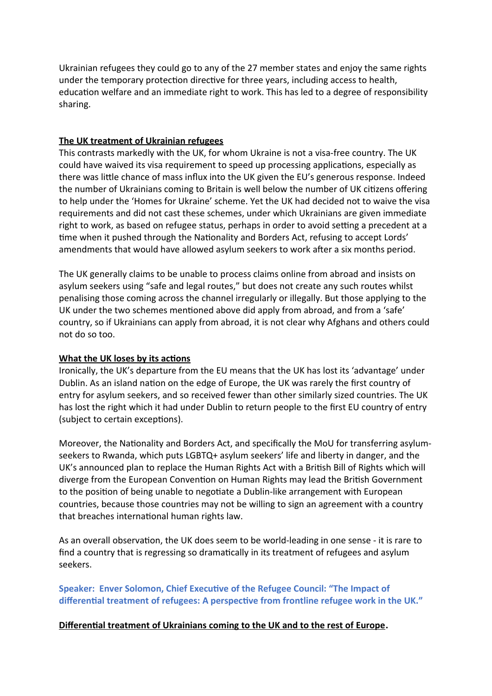Ukrainian refugees they could go to any of the 27 member states and enjoy the same rights under the temporary protection directive for three years, including access to health, education welfare and an immediate right to work. This has led to a degree of responsibility sharing.

### **The UK treatment of Ukrainian refugees**

This contrasts markedly with the UK, for whom Ukraine is not a visa-free country. The UK could have waived its visa requirement to speed up processing applications, especially as there was little chance of mass influx into the UK given the EU's generous response. Indeed the number of Ukrainians coming to Britain is well below the number of UK citizens offering to help under the 'Homes for Ukraine' scheme. Yet the UK had decided not to waive the visa requirements and did not cast these schemes, under which Ukrainians are given immediate right to work, as based on refugee status, perhaps in order to avoid setting a precedent at a time when it pushed through the Nationality and Borders Act, refusing to accept Lords' amendments that would have allowed asylum seekers to work after a six months period.

The UK generally claims to be unable to process claims online from abroad and insists on asylum seekers using "safe and legal routes," but does not create any such routes whilst penalising those coming across the channel irregularly or illegally. But those applying to the UK under the two schemes mentioned above did apply from abroad, and from a 'safe' country, so if Ukrainians can apply from abroad, it is not clear why Afghans and others could not do so too.

## **What the UK loses by its actions**

Ironically, the UK's departure from the EU means that the UK has lost its 'advantage' under Dublin. As an island nation on the edge of Europe, the UK was rarely the first country of entry for asylum seekers, and so received fewer than other similarly sized countries. The UK has lost the right which it had under Dublin to return people to the first EU country of entry (subject to certain exceptions).

Moreover, the Nationality and Borders Act, and specifically the MoU for transferring asylumseekers to Rwanda, which puts LGBTQ+ asylum seekers' life and liberty in danger, and the UK's announced plan to replace the Human Rights Act with a British Bill of Rights which will diverge from the European Convention on Human Rights may lead the British Government to the position of being unable to negotiate a Dublin-like arrangement with European countries, because those countries may not be willing to sign an agreement with a country that breaches international human rights law.

As an overall observation, the UK does seem to be world-leading in one sense - it is rare to find a country that is regressing so dramatically in its treatment of refugees and asylum seekers.

**Speaker: Enver Solomon, Chief Executive of the Refugee Council: "The Impact of differential treatment of refugees: A perspective from frontline refugee work in the UK."**

## **Differential treatment of Ukrainians coming to the UK and to the rest of Europe.**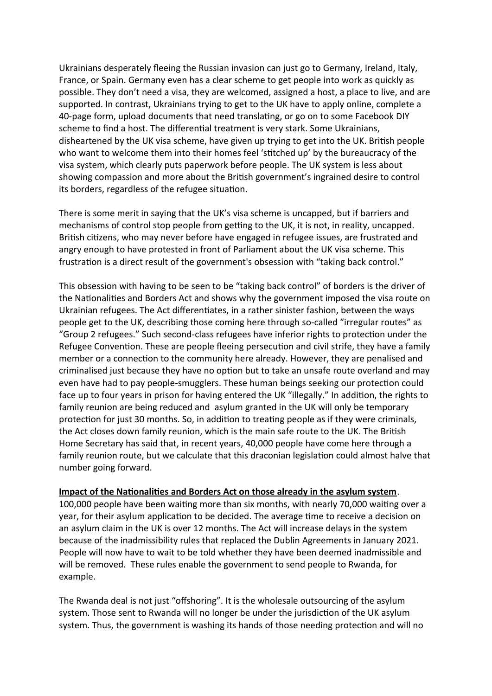Ukrainians desperately fleeing the Russian invasion can just go to Germany, Ireland, Italy, France, or Spain. Germany even has a clear scheme to get people into work as quickly as possible. They don't need a visa, they are welcomed, assigned a host, a place to live, and are supported. In contrast, Ukrainians trying to get to the UK have to apply online, complete a 40-page form, upload documents that need translating, or go on to some Facebook DIY scheme to find a host. The differential treatment is very stark. Some Ukrainians, disheartened by the UK visa scheme, have given up trying to get into the UK. British people who want to welcome them into their homes feel 'stitched up' by the bureaucracy of the visa system, which clearly puts paperwork before people. The UK system is less about showing compassion and more about the British government's ingrained desire to control its borders, regardless of the refugee situation.

There is some merit in saying that the UK's visa scheme is uncapped, but if barriers and mechanisms of control stop people from getting to the UK, it is not, in reality, uncapped. British citizens, who may never before have engaged in refugee issues, are frustrated and angry enough to have protested in front of Parliament about the UK visa scheme. This frustration is a direct result of the government's obsession with "taking back control."

This obsession with having to be seen to be "taking back control" of borders is the driver of the Nationalities and Borders Act and shows why the government imposed the visa route on Ukrainian refugees. The Act differentiates, in a rather sinister fashion, between the ways people get to the UK, describing those coming here through so-called "irregular routes" as "Group 2 refugees." Such second-class refugees have inferior rights to protection under the Refugee Convention. These are people fleeing persecution and civil strife, they have a family member or a connection to the community here already. However, they are penalised and criminalised just because they have no option but to take an unsafe route overland and may even have had to pay people-smugglers. These human beings seeking our protection could face up to four years in prison for having entered the UK "illegally." In addition, the rights to family reunion are being reduced and asylum granted in the UK will only be temporary protection for just 30 months. So, in addition to treating people as if they were criminals, the Act closes down family reunion, which is the main safe route to the UK. The British Home Secretary has said that, in recent years, 40,000 people have come here through a family reunion route, but we calculate that this draconian legislation could almost halve that number going forward.

#### **Impact of the Nationalities and Borders Act on those already in the asylum system**.

100,000 people have been waiting more than six months, with nearly 70,000 waiting over a year, for their asylum application to be decided. The average time to receive a decision on an asylum claim in the UK is over 12 months. The Act will increase delays in the system because of the inadmissibility rules that replaced the Dublin Agreements in January 2021. People will now have to wait to be told whether they have been deemed inadmissible and will be removed. These rules enable the government to send people to Rwanda, for example.

The Rwanda deal is not just "offshoring". It is the wholesale outsourcing of the asylum system. Those sent to Rwanda will no longer be under the jurisdiction of the UK asylum system. Thus, the government is washing its hands of those needing protection and will no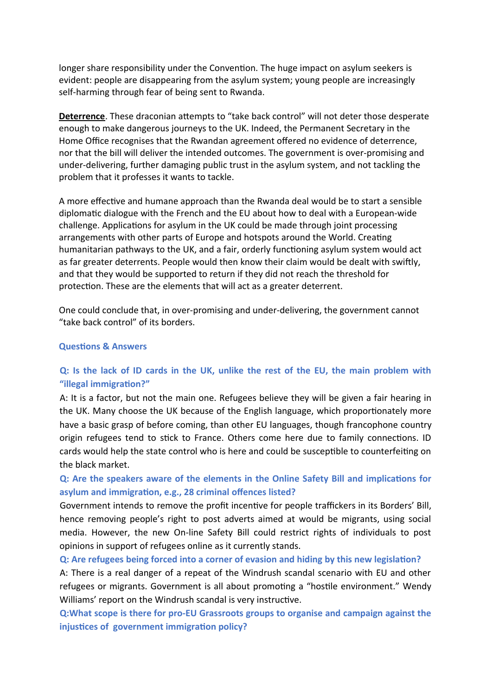longer share responsibility under the Convention. The huge impact on asylum seekers is evident: people are disappearing from the asylum system; young people are increasingly self-harming through fear of being sent to Rwanda.

**Deterrence**. These draconian attempts to "take back control" will not deter those desperate enough to make dangerous journeys to the UK. Indeed, the Permanent Secretary in the Home Office recognises that the Rwandan agreement offered no evidence of deterrence, nor that the bill will deliver the intended outcomes. The government is over-promising and under-delivering, further damaging public trust in the asylum system, and not tackling the problem that it professes it wants to tackle.

A more effective and humane approach than the Rwanda deal would be to start a sensible diplomatic dialogue with the French and the EU about how to deal with a European-wide challenge. Applications for asylum in the UK could be made through joint processing arrangements with other parts of Europe and hotspots around the World. Creating humanitarian pathways to the UK, and a fair, orderly functioning asylum system would act as far greater deterrents. People would then know their claim would be dealt with swiftly, and that they would be supported to return if they did not reach the threshold for protection. These are the elements that will act as a greater deterrent.

One could conclude that, in over-promising and under-delivering, the government cannot "take back control" of its borders.

#### **Questions & Answers**

# **Q: Is the lack of ID cards in the UK, unlike the rest of the EU, the main problem with "illegal immigration?"**

A: It is a factor, but not the main one. Refugees believe they will be given a fair hearing in the UK. Many choose the UK because of the English language, which proportionately more have a basic grasp of before coming, than other EU languages, though francophone country origin refugees tend to stick to France. Others come here due to family connections. ID cards would help the state control who is here and could be susceptible to counterfeiting on the black market.

**Q: Are the speakers aware of the elements in the Online Safety Bill and implications for asylum and immigration, e.g., 28 criminal offences listed?** 

Government intends to remove the profit incentive for people traffickers in its Borders' Bill, hence removing people's right to post adverts aimed at would be migrants, using social media. However, the new On-line Safety Bill could restrict rights of individuals to post opinions in support of refugees online as it currently stands.

**Q: Are refugees being forced into a corner of evasion and hiding by this new legislation?** 

A: There is a real danger of a repeat of the Windrush scandal scenario with EU and other refugees or migrants. Government is all about promoting a "hostile environment." Wendy Williams' report on the Windrush scandal is very instructive.

**Q:What scope is there for pro-EU Grassroots groups to organise and campaign against the injustices of government immigration policy?**